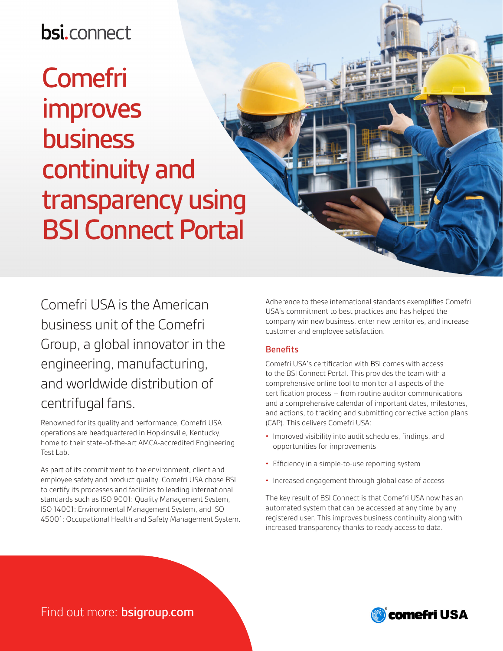## **bsi.connect**

# Comefri improves business continuity and transparency using BSI Connect Portal

Comefri USA is the American business unit of the Comefri Group, a global innovator in the engineering, manufacturing, and worldwide distribution of centrifugal fans.

Renowned for its quality and performance, Comefri USA operations are headquartered in Hopkinsville, Kentucky, home to their state-of-the-art AMCA-accredited Engineering Test Lab.

As part of its commitment to the environment, client and employee safety and product quality, Comefri USA chose BSI to certify its processes and facilities to leading international standards such as ISO 9001: Quality Management System, ISO 14001: Environmental Management System, and ISO 45001: Occupational Health and Safety Management System. Adherence to these international standards exemplifies Comefri USA's commitment to best practices and has helped the company win new business, enter new territories, and increase customer and employee satisfaction.

#### **Benefits**

Comefri USA's certification with BSI comes with access to the BSI Connect Portal. This provides the team with a comprehensive online tool to monitor all aspects of the certification process – from routine auditor communications and a comprehensive calendar of important dates, milestones, and actions, to tracking and submitting corrective action plans (CAP). This delivers Comefri USA:

- Improved visibility into audit schedules, findings, and opportunities for improvements
- Efficiency in a simple-to-use reporting system
- Increased engagement through global ease of access

The key result of BSI Connect is that Comefri USA now has an automated system that can be accessed at any time by any registered user. This improves business continuity along with increased transparency thanks to ready access to data.

### Find out more: bsigroup.com